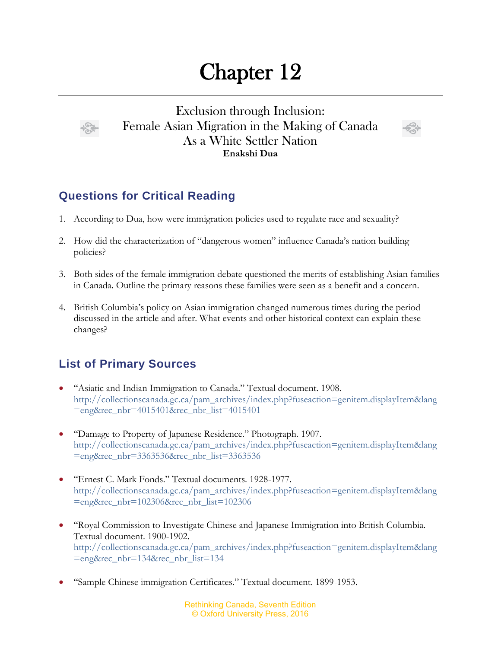## Chapter 12



Exclusion through Inclusion: Female Asian Migration in the Making of Canada As a White Settler Nation **Enakshi Dua**



## **Questions for Critical Reading**

- 1. According to Dua, how were immigration policies used to regulate race and sexuality?
- 2. How did the characterization of "dangerous women" influence Canada's nation building policies?
- 3. Both sides of the female immigration debate questioned the merits of establishing Asian families in Canada. Outline the primary reasons these families were seen as a benefit and a concern.
- 4. British Columbia's policy on Asian immigration changed numerous times during the period discussed in the article and after. What events and other historical context can explain these changes?

## **List of Primary Sources**

- "Asiatic and Indian Immigration to Canada." Textual document. 1908. [http://collectionscanada.gc.ca/pam\\_archives/index.php?fuseaction=genitem.displayItem&lang](http://collectionscanada.gc.ca/pam_archives/index.php?fuseaction=genitem.displayItem&lang=eng&rec_nbr=4015401&rec_nbr_list=4015401) [=eng&rec\\_nbr=4015401&rec\\_nbr\\_list=4015401](http://collectionscanada.gc.ca/pam_archives/index.php?fuseaction=genitem.displayItem&lang=eng&rec_nbr=4015401&rec_nbr_list=4015401)
- "Damage to Property of Japanese Residence." Photograph. 1907. [http://collectionscanada.gc.ca/pam\\_archives/index.php?fuseaction=genitem.displayItem&lang](http://collectionscanada.gc.ca/pam_archives/index.php?fuseaction=genitem.displayItem&lang=eng&rec_nbr=3363536&rec_nbr_list=3363536) [=eng&rec\\_nbr=3363536&rec\\_nbr\\_list=3363536](http://collectionscanada.gc.ca/pam_archives/index.php?fuseaction=genitem.displayItem&lang=eng&rec_nbr=3363536&rec_nbr_list=3363536)
- "Ernest C. Mark Fonds." Textual documents. 1928-1977. [http://collectionscanada.gc.ca/pam\\_archives/index.php?fuseaction=genitem.displayItem&lang](http://collectionscanada.gc.ca/pam_archives/index.php?fuseaction=genitem.displayItem&lang=eng&rec_nbr=102306&rec_nbr_list=102306) [=eng&rec\\_nbr=102306&rec\\_nbr\\_list=102306](http://collectionscanada.gc.ca/pam_archives/index.php?fuseaction=genitem.displayItem&lang=eng&rec_nbr=102306&rec_nbr_list=102306)
- "Royal Commission to Investigate Chinese and Japanese Immigration into British Columbia. Textual document. 1900-1902. [http://collectionscanada.gc.ca/pam\\_archives/index.php?fuseaction=genitem.displayItem&lang](http://collectionscanada.gc.ca/pam_archives/index.php?fuseaction=genitem.displayItem&lang=eng&rec_nbr=134&rec_nbr_list=134) [=eng&rec\\_nbr=134&rec\\_nbr\\_list=134](http://collectionscanada.gc.ca/pam_archives/index.php?fuseaction=genitem.displayItem&lang=eng&rec_nbr=134&rec_nbr_list=134)
- "Sample Chinese immigration Certificates." Textual document. 1899-1953.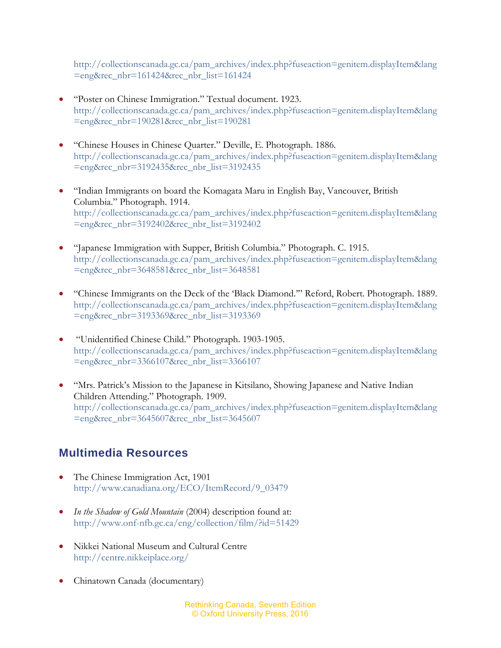[http://collectionscanada.gc.ca/pam\\_archives/index.php?fuseaction=genitem.displayItem&lang](http://collectionscanada.gc.ca/pam_archives/index.php?fuseaction=genitem.displayItem&lang=eng&rec_nbr=161424&rec_nbr_list=161424) [=eng&rec\\_nbr=161424&rec\\_nbr\\_list=161424](http://collectionscanada.gc.ca/pam_archives/index.php?fuseaction=genitem.displayItem&lang=eng&rec_nbr=161424&rec_nbr_list=161424)

- "Poster on Chinese Immigration." Textual document. 1923. [http://collectionscanada.gc.ca/pam\\_archives/index.php?fuseaction=genitem.displayItem&lang](http://collectionscanada.gc.ca/pam_archives/index.php?fuseaction=genitem.displayItem&lang=eng&rec_nbr=190281&rec_nbr_list=190281) [=eng&rec\\_nbr=190281&rec\\_nbr\\_list=190281](http://collectionscanada.gc.ca/pam_archives/index.php?fuseaction=genitem.displayItem&lang=eng&rec_nbr=190281&rec_nbr_list=190281)
- "Chinese Houses in Chinese Quarter." Deville, E. Photograph. 1886. [http://collectionscanada.gc.ca/pam\\_archives/index.php?fuseaction=genitem.displayItem&lang](http://collectionscanada.gc.ca/pam_archives/index.php?fuseaction=genitem.displayItem&lang=eng&rec_nbr=3192435&rec_nbr_list=3192435) [=eng&rec\\_nbr=3192435&rec\\_nbr\\_list=3192435](http://collectionscanada.gc.ca/pam_archives/index.php?fuseaction=genitem.displayItem&lang=eng&rec_nbr=3192435&rec_nbr_list=3192435)
- "Indian Immigrants on board the Komagata Maru in English Bay, Vancouver, British Columbia." Photograph. 1914. [http://collectionscanada.gc.ca/pam\\_archives/index.php?fuseaction=genitem.displayItem&lang](http://collectionscanada.gc.ca/pam_archives/index.php?fuseaction=genitem.displayItem&lang=eng&rec_nbr=3192402&rec_nbr_list=3192402) [=eng&rec\\_nbr=3192402&rec\\_nbr\\_list=3192402](http://collectionscanada.gc.ca/pam_archives/index.php?fuseaction=genitem.displayItem&lang=eng&rec_nbr=3192402&rec_nbr_list=3192402)
- "Japanese Immigration with Supper, British Columbia." Photograph. C. 1915. [http://collectionscanada.gc.ca/pam\\_archives/index.php?fuseaction=genitem.displayItem&lang](http://collectionscanada.gc.ca/pam_archives/index.php?fuseaction=genitem.displayItem&lang=eng&rec_nbr=3648581&rec_nbr_list=3648581) [=eng&rec\\_nbr=3648581&rec\\_nbr\\_list=3648581](http://collectionscanada.gc.ca/pam_archives/index.php?fuseaction=genitem.displayItem&lang=eng&rec_nbr=3648581&rec_nbr_list=3648581)
- "Chinese Immigrants on the Deck of the 'Black Diamond.'" Reford, Robert. Photograph. 1889. [http://collectionscanada.gc.ca/pam\\_archives/index.php?fuseaction=genitem.displayItem&lang](http://collectionscanada.gc.ca/pam_archives/index.php?fuseaction=genitem.displayItem&lang=eng&rec_nbr=3193369&rec_nbr_list=3193369) [=eng&rec\\_nbr=3193369&rec\\_nbr\\_list=3193369](http://collectionscanada.gc.ca/pam_archives/index.php?fuseaction=genitem.displayItem&lang=eng&rec_nbr=3193369&rec_nbr_list=3193369)
- "Unidentified Chinese Child." Photograph. 1903-1905. [http://collectionscanada.gc.ca/pam\\_archives/index.php?fuseaction=genitem.displayItem&lang](http://collectionscanada.gc.ca/pam_archives/index.php?fuseaction=genitem.displayItem&lang=eng&rec_nbr=3366107&rec_nbr_list=3366107) [=eng&rec\\_nbr=3366107&rec\\_nbr\\_list=3366107](http://collectionscanada.gc.ca/pam_archives/index.php?fuseaction=genitem.displayItem&lang=eng&rec_nbr=3366107&rec_nbr_list=3366107)
- "Mrs. Patrick's Mission to the Japanese in Kitsilano, Showing Japanese and Native Indian Children Attending." Photograph. 1909. http://collectionscanada.gc.ca/pam\_archives/index.php?fuseaction=genitem.displayItem&lang =eng&rec\_nbr=3645607&rec\_nbr\_list=3645607

## **Multimedia Resources**

- The Chinese Immigration Act, 1901 [http://www.canadiana.org/ECO/ItemRecord/9\\_03479](http://www.canadiana.org/ECO/ItemRecord/9_03479)
- *In the Shadow of Gold Mountain* (2004) description found at: <http://www.onf-nfb.gc.ca/eng/collection/film/?id=51429>
- Nikkei National Museum and Cultural Centre <http://centre.nikkeiplace.org/>
- Chinatown Canada (documentary)

Rethinking Canada, Seventh Edition © Oxford University Press, 2016